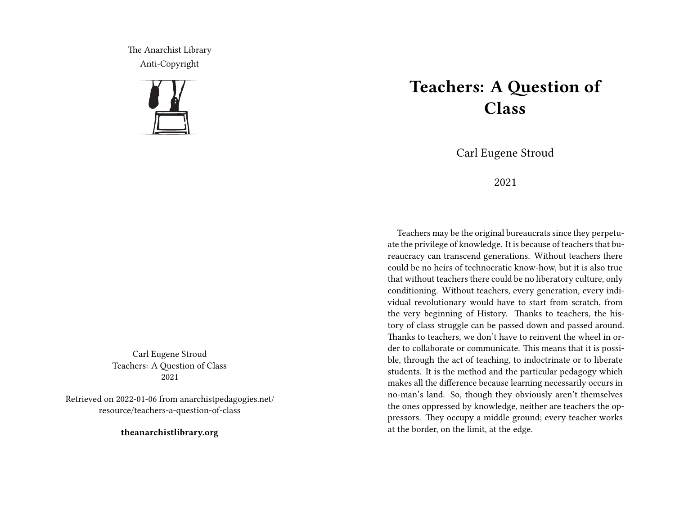The Anarchist Library Anti-Copyright



Carl Eugene Stroud Teachers: A Question of Class 2021

Retrieved on 2022-01-06 from anarchistpedagogies.net/ resource/teachers-a-question-of-class

**theanarchistlibrary.org**

## **Teachers: A Question of Class**

Carl Eugene Stroud

## 2021

Teachers may be the original bureaucrats since they perpetuate the privilege of knowledge. It is because of teachers that bureaucracy can transcend generations. Without teachers there could be no heirs of technocratic know-how, but it is also true that without teachers there could be no liberatory culture, only conditioning. Without teachers, every generation, every individual revolutionary would have to start from scratch, from the very beginning of History. Thanks to teachers, the history of class struggle can be passed down and passed around. Thanks to teachers, we don't have to reinvent the wheel in order to collaborate or communicate. This means that it is possible, through the act of teaching, to indoctrinate or to liberate students. It is the method and the particular pedagogy which makes all the difference because learning necessarily occurs in no-man's land. So, though they obviously aren't themselves the ones oppressed by knowledge, neither are teachers the oppressors. They occupy a middle ground; every teacher works at the border, on the limit, at the edge.